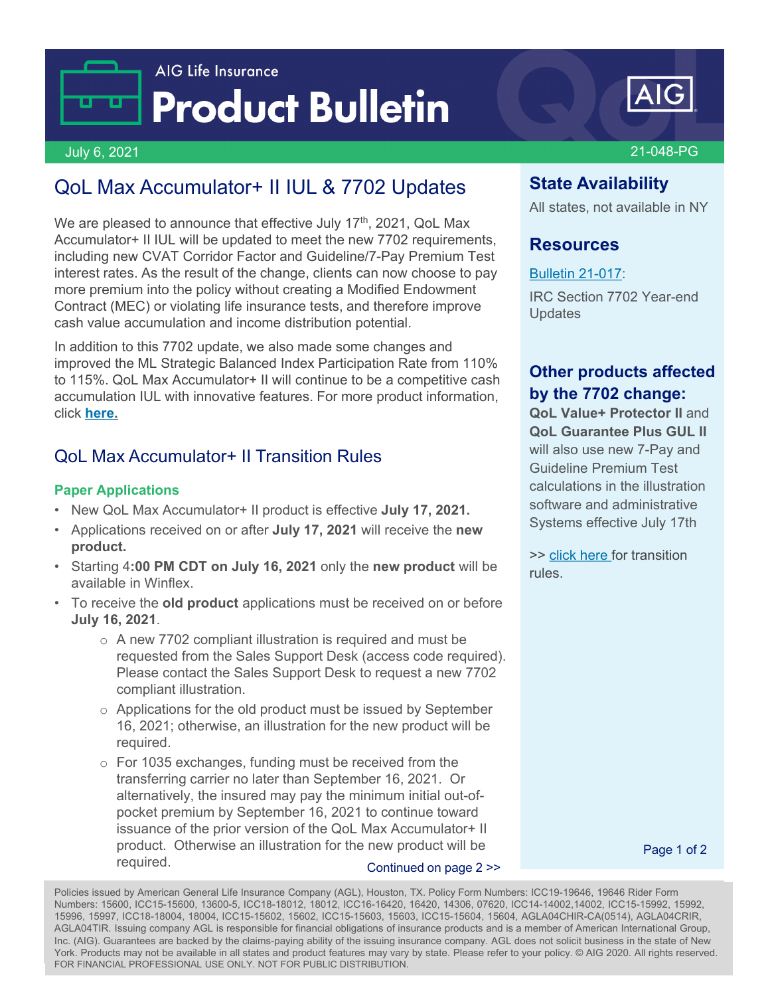



#### July 6, 2021 21-048-PG

# QoL Max Accumulator+ II IUL & 7702 Updates

We are pleased to announce that effective July  $17<sup>th</sup>$ , 2021, QoL Max Accumulator+ II IUL will be updated to meet the new 7702 requirements, including new CVAT Corridor Factor and Guideline/7-Pay Premium Test interest rates. As the result of the change, clients can now choose to pay more premium into the policy without creating a Modified Endowment Contract (MEC) or violating life insurance tests, and therefore improve cash value accumulation and income distribution potential.

In addition to this 7702 update, we also made some changes and improved the ML Strategic Balanced Index Participation Rate from 110% to 115%. QoL Max Accumulator+ II will continue to be a competitive cash accumulation IUL with innovative features. For more product information, click **[here.](https://www-196.aig.com/standout/products/accumulation-iul/)**

### QoL Max Accumulator+ II Transition Rules

#### **Paper Applications**

- New QoL Max Accumulator+ II product is effective **July 17, 2021.**
- Applications received on or after **July 17, 2021** will receive the **new product.**
- Starting 4**:00 PM CDT on July 16, 2021** only the **new product** will be available in Winflex.
- To receive the **old product** applications must be received on or before **July 16, 2021**.
	- $\circ$  A new 7702 compliant illustration is required and must be requested from the Sales Support Desk (access code required). Please contact the Sales Support Desk to request a new 7702 compliant illustration.
	- o Applications for the old product must be issued by September 16, 2021; otherwise, an illustration for the new product will be required.
	- o For 1035 exchanges, funding must be received from the transferring carrier no later than September 16, 2021. Or alternatively, the insured may pay the minimum initial out-ofpocket premium by September 16, 2021 to continue toward issuance of the prior version of the QoL Max Accumulator+ II product. Otherwise an illustration for the new product will be required. Continued on page 2 >>

# **State Availability**

All states, not available in NY

### **Resources**

#### [Bulletin 21-017:](https://live.cloud.api.aig.com/life/connext-fdm/download/100AicF6FGkgO9MMYvefTIwGZGHp77gN3SvUxuZuuR-4DR9ejnof1NflRxKPC-XAd-WWM4voN20yvorjPmWDfOjsVg)

IRC Section 7702 Year-end **Updates** 

### **Other products affected by the 7702 change:**

**QoL Value+ Protector II and QoL Guarantee Plus GUL II**  will also use new 7-Pay and Guideline Premium Test calculations in the illustration software and administrative Systems effective July 17th

>> [click here](#page-1-0) for transition rules.

Page 1 of 2

hc. (AIG). Guarantees are backed by the claims-paying ability of the issuing insurance company. AGL does not solicit business in the state of New Policies issued by American General Life Insurance Company (AGL), Houston, TX. Policy Form Numbers: ICC19-19646, 19646 Rider Form Numbers: 15600, ICC15-15600, 13600-5, ICC18-18012, 18012, ICC16-16420, 16420, 14306, 07620, ICC14-14002,14002, ICC15-15992, 15992, 15996, 15997, ICC18-18004, 18004, ICC15-15602, 15602, ICC15-15603, 15603, ICC15-15604, 15604, AGLA04CHIR-CA(0514), AGLA04CRIR, AGLA04TIR. Issuing company AGL is responsible for financial obligations of insurance products and is a member of American International Group, York. Products may not be available in all states and product features may vary by state. Please refer to your policy. © AIG 2020. All rights reserved. FOR FINANCIAL PROFESSIONAL USE ONLY. NOT FOR PUBLIC DISTRIBUTION.